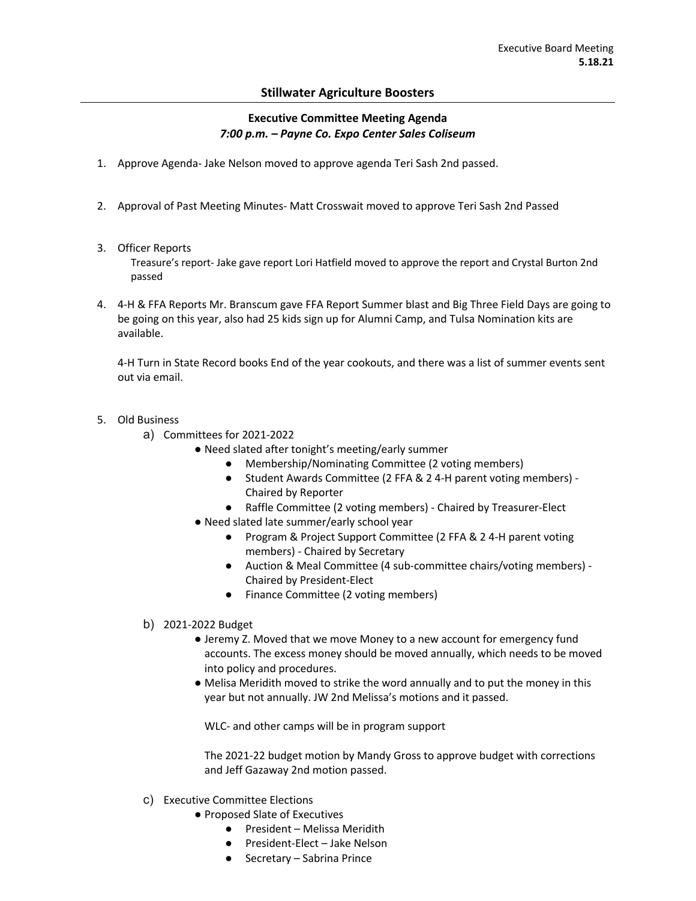## **Stillwater Agriculture Boosters**

## **Executive Committee Meeting Agenda** *7:00 p.m. – Payne Co. Expo Center Sales Coliseum*

- 1. Approve Agenda- Jake Nelson moved to approve agenda Teri Sash 2nd passed.
- 2. Approval of Past Meeting Minutes- Matt Crosswait moved to approve Teri Sash 2nd Passed
- 3. Officer Reports

Treasure's report- Jake gave report Lori Hatfield moved to approve the report and Crystal Burton 2nd passed

4. 4-H & FFA Reports Mr. Branscum gave FFA Report Summer blast and Big Three Field Days are going to be going on this year, also had 25 kids sign up for Alumni Camp, and Tulsa Nomination kits are available.

4-H Turn in State Record books End of the year cookouts, and there was a list of summer events sent out via email.

- 5. Old Business
	- a) Committees for 2021-2022
		- Need slated after tonight's meeting/early summer
			- Membership/Nominating Committee (2 voting members)
			- Student Awards Committee (2 FFA & 2 4-H parent voting members) -Chaired by Reporter
			- Raffle Committee (2 voting members) Chaired by Treasurer-Elect
		- Need slated late summer/early school year
			- Program & Project Support Committee (2 FFA & 2 4-H parent voting members) - Chaired by Secretary
			- Auction & Meal Committee (4 sub-committee chairs/voting members) -Chaired by President-Elect
			- Finance Committee (2 voting members)
	- b) 2021-2022 Budget
		- Jeremy Z. Moved that we move Money to a new account for emergency fund accounts. The excess money should be moved annually, which needs to be moved into policy and procedures.
		- Melisa Meridith moved to strike the word annually and to put the money in this year but not annually. JW 2nd Melissa's motions and it passed.

WLC- and other camps will be in program support

The 2021-22 budget motion by Mandy Gross to approve budget with corrections and Jeff Gazaway 2nd motion passed.

- c) Executive Committee Elections
	- Proposed Slate of Executives
		- President Melissa Meridith
		- President-Elect Jake Nelson
		- Secretary Sabrina Prince